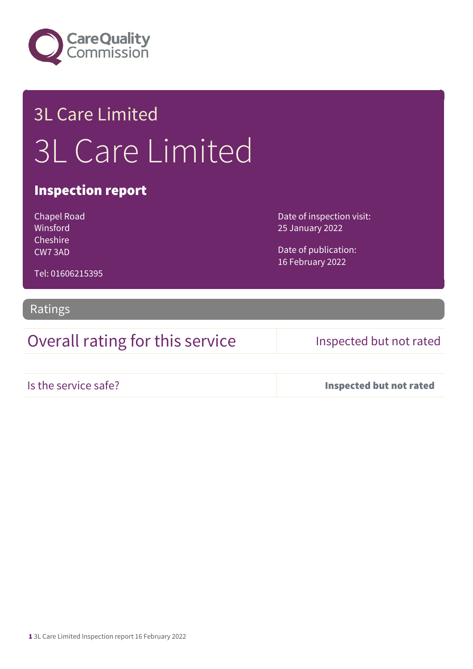

## 3L Care Limited 3L Care Limited

## Inspection report

Chapel Road Winsford **Cheshire** CW7 3AD

Date of inspection visit: 25 January 2022

Date of publication: 16 February 2022

Tel: 01606215395

### Ratings

Overall rating for this service Inspected but not rated

Is the service safe? Inspected but not rated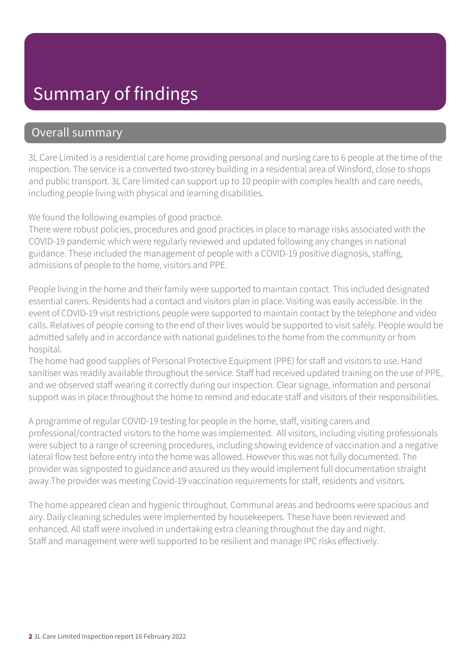## Summary of findings

## Overall summary

3L Care Limited is a residential care home providing personal and nursing care to 6 people at the time of the inspection. The service is a converted two-storey building in a residential area of Winsford, close to shops and public transport. 3L Care limited can support up to 10 people with complex health and care needs, including people living with physical and learning disabilities.

We found the following examples of good practice.

There were robust policies, procedures and good practices in place to manage risks associated with the COVID-19 pandemic which were regularly reviewed and updated following any changes in national guidance. These included the management of people with a COVID-19 positive diagnosis, staffing, admissions of people to the home, visitors and PPE.

People living in the home and their family were supported to maintain contact. This included designated essential carers. Residents had a contact and visitors plan in place. Visiting was easily accessible. In the event of COVID-19 visit restrictions people were supported to maintain contact by the telephone and video calls. Relatives of people coming to the end of their lives would be supported to visit safely. People would be admitted safely and in accordance with national guidelines to the home from the community or from hospital.

The home had good supplies of Personal Protective Equipment (PPE) for staff and visitors to use. Hand sanitiser was readily available throughout the service. Staff had received updated training on the use of PPE, and we observed staff wearing it correctly during our inspection. Clear signage, information and personal support was in place throughout the home to remind and educate staff and visitors of their responsibilities.

A programme of regular COVID-19 testing for people in the home, staff, visiting carers and professional/contracted visitors to the home was implemented. All visitors, including visiting professionals were subject to a range of screening procedures, including showing evidence of vaccination and a negative lateral flow test before entry into the home was allowed. However this was not fully documented. The provider was signposted to guidance and assured us they would implement full documentation straight away.The provider was meeting Covid-19 vaccination requirements for staff, residents and visitors.

The home appeared clean and hygienic throughout. Communal areas and bedrooms were spacious and airy. Daily cleaning schedules were implemented by housekeepers. These have been reviewed and enhanced. All staff were involved in undertaking extra cleaning throughout the day and night. Staff and management were well supported to be resilient and manage IPC risks effectively.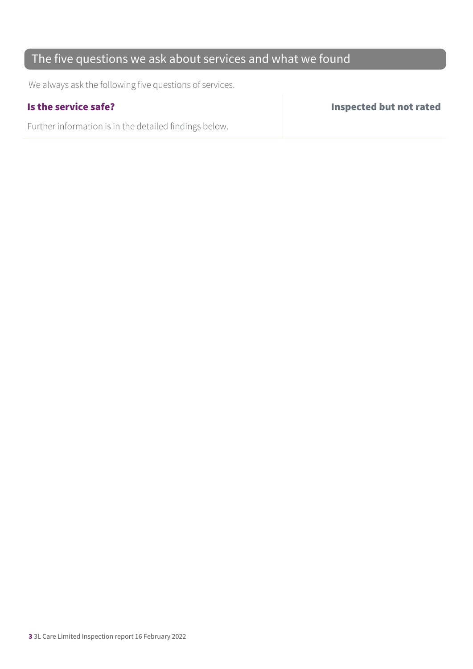## The five questions we ask about services and what we found

We always ask the following five questions of services.

Further information is in the detailed findings below.

Is the service safe? Inspected but not rated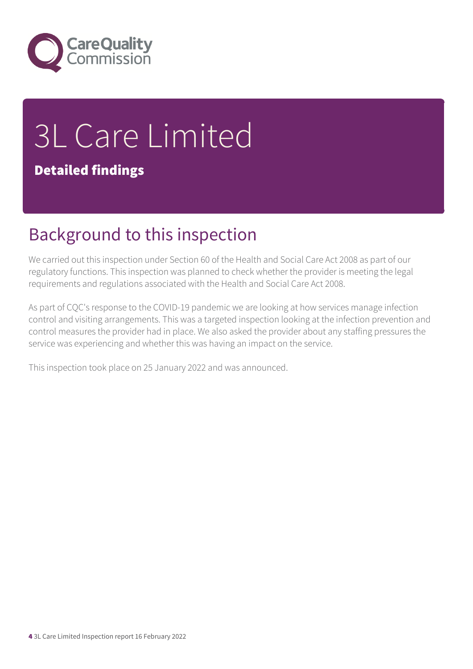

# 3L Care Limited

## Detailed findings

## Background to this inspection

We carried out this inspection under Section 60 of the Health and Social Care Act 2008 as part of our regulatory functions. This inspection was planned to check whether the provider is meeting the legal requirements and regulations associated with the Health and Social Care Act 2008.

As part of CQC's response to the COVID-19 pandemic we are looking at how services manage infection control and visiting arrangements. This was a targeted inspection looking at the infection prevention and control measures the provider had in place. We also asked the provider about any staffing pressures the service was experiencing and whether this was having an impact on the service.

This inspection took place on 25 January 2022 and was announced.